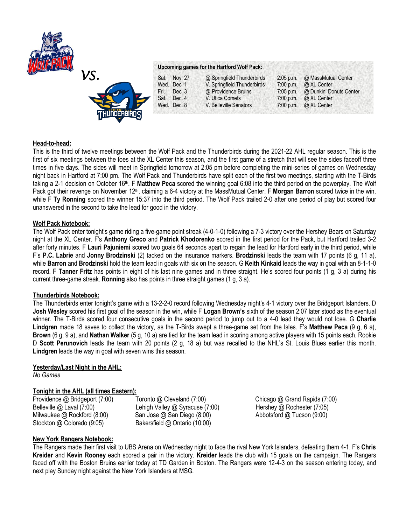

# **Upcoming games for the Hartford Wolf Pack:**

| VS.                | Sat. Nov. 27   | @ Springfield Thunderbirds  | $2:05$ p.m. | @ MassMutual Center               |
|--------------------|----------------|-----------------------------|-------------|-----------------------------------|
|                    | Wed. Dec. 1    | V. Springfield Thunderbirds |             | 7:00 p.m. $\omega$ XL Center      |
| 长了                 | Dec. 3<br>Fri. | @ Providence Bruins         |             | 7:05 p.m. @ Dunkin' Donuts Center |
|                    | Sat. Dec. 4    | V. Utica Comets             |             | 7:00 p.m. $\omega$ XL Center      |
|                    | Wed. Dec. 8    | V. Belleville Senators      |             | 7:00 p.m. $\omega$ XL Center      |
| <b>TUIDDERRRDC</b> |                |                             |             |                                   |

## **Head-to-head:**

This is the third of twelve meetings between the Wolf Pack and the Thunderbirds during the 2021-22 AHL regular season. This is the first of six meetings between the foes at the XL Center this season, and the first game of a stretch that will see the sides faceoff three times in five days. The sides will meet in Springfield tomorrow at 2:05 pm before completing the mini-series of games on Wednesday night back in Hartford at 7:00 pm. The Wolf Pack and Thunderbirds have split each of the first two meetings, starting with the T-Birds taking a 2-1 decision on October 16th. F **Matthew Peca** scored the winning goal 6:08 into the third period on the powerplay. The Wolf Pack got their revenge on November 12<sup>th</sup>, claiming a 6-4 victory at the MassMutual Center. F **Morgan Barron** scored twice in the win, while F **Ty Ronning** scored the winner 15:37 into the third period. The Wolf Pack trailed 2-0 after one period of play but scored four unanswered in the second to take the lead for good in the victory.

### **Wolf Pack Notebook:**

The Wolf Pack enter tonight's game riding a five-game point streak (4-0-1-0) following a 7-3 victory over the Hershey Bears on Saturday night at the XL Center. F's **Anthony Greco** and **Patrick Khodorenko** scored in the first period for the Pack, but Hartford trailed 3-2 after forty minutes. F **Lauri Pajuniemi** scored two goals 64 seconds apart to regain the lead for Hartford early in the third period, while F's **P.C. Labrie** and **Jonny Brodzinski** (2) tacked on the insurance markers. **Brodzinski** leads the team with 17 points (6 g, 11 a), while **Barron** and **Brodzinski** hold the team lead in goals with six on the season. G **Keith Kinkaid** leads the way in goal with an 8-1-1-0 record. F **Tanner Fritz** has points in eight of his last nine games and in three straight. He's scored four points (1 g, 3 a) during his current three-game streak. **Ronning** also has points in three straight games (1 g, 3 a).

## **Thunderbirds Notebook:**

The Thunderbirds enter tonight's game with a 13-2-2-0 record following Wednesday night's 4-1 victory over the Bridgeport Islanders. D **Josh Wesley** scored his first goal of the season in the win, while F **Logan Brown's** sixth of the season 2:07 later stood as the eventual winner. The T-Birds scored four consecutive goals in the second period to jump out to a 4-0 lead they would not lose. G **Charlie Lindgren** made 18 saves to collect the victory, as the T-Birds swept a three-game set from the Isles. F's **Matthew Peca** (9 g, 6 a), **Brown** (6 g, 9 a), and **Nathan Walker** (5 g, 10 a) are tied for the team lead in scoring among active players with 15 points each. Rookie D **Scott Perunovich** leads the team with 20 points (2 g, 18 a) but was recalled to the NHL's St. Louis Blues earlier this month. **Lindgren** leads the way in goal with seven wins this season.

### **Yesterday/Last Night in the AHL:**

*No Games*

# **Tonight in the AHL (all times Eastern):**

Stockton @ Colorado (9:05) Bakersfield @ Ontario (10:00)

Belleville @ Laval (7:00)Lehigh Valley @ Syracuse (7:00) Hershey @ Rochester (7:05) Milwaukee @ Rockford (8:00) San Jose @ San Diego (8:00) Abbotsford @ Tucson (9:00)

Providence @ Bridgeport (7:00)Toronto @ Cleveland (7:00) Chicago @ Grand Rapids (7:00)

## **New York Rangers Notebook:**

The Rangers made their first visit to UBS Arena on Wednesday night to face the rival New York Islanders, defeating them 4-1. F's **Chris Kreider** and **Kevin Rooney** each scored a pair in the victory. **Kreider** leads the club with 15 goals on the campaign. The Rangers faced off with the Boston Bruins earlier today at TD Garden in Boston. The Rangers were 12-4-3 on the season entering today, and next play Sunday night against the New York Islanders at MSG.